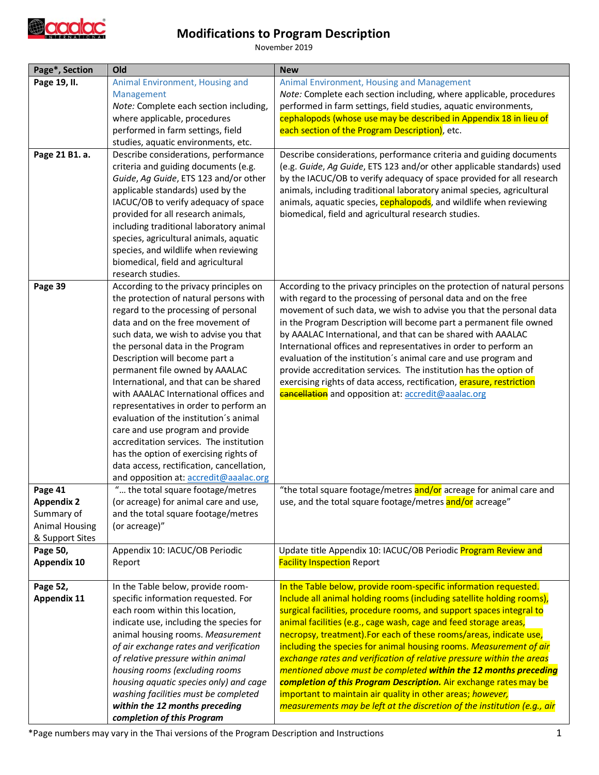

## **Modifications to Program Description**

November 2019

| Page*, Section                 | Old                                                                            | <b>New</b>                                                                                                                            |
|--------------------------------|--------------------------------------------------------------------------------|---------------------------------------------------------------------------------------------------------------------------------------|
| Page 19, II.                   | Animal Environment, Housing and                                                | Animal Environment, Housing and Management                                                                                            |
|                                | Management                                                                     | Note: Complete each section including, where applicable, procedures                                                                   |
|                                | Note: Complete each section including,                                         | performed in farm settings, field studies, aquatic environments,                                                                      |
|                                | where applicable, procedures                                                   | cephalopods (whose use may be described in Appendix 18 in lieu of                                                                     |
|                                | performed in farm settings, field                                              | each section of the Program Description), etc.                                                                                        |
|                                | studies, aquatic environments, etc.                                            |                                                                                                                                       |
| Page 21 B1. a.                 | Describe considerations, performance                                           | Describe considerations, performance criteria and guiding documents                                                                   |
|                                | criteria and guiding documents (e.g.                                           | (e.g. Guide, Ag Guide, ETS 123 and/or other applicable standards) used                                                                |
|                                | Guide, Ag Guide, ETS 123 and/or other                                          | by the IACUC/OB to verify adequacy of space provided for all research                                                                 |
|                                | applicable standards) used by the                                              | animals, including traditional laboratory animal species, agricultural                                                                |
|                                | IACUC/OB to verify adequacy of space                                           | animals, aquatic species, cephalopods, and wildlife when reviewing                                                                    |
|                                | provided for all research animals,                                             | biomedical, field and agricultural research studies.                                                                                  |
|                                | including traditional laboratory animal                                        |                                                                                                                                       |
|                                | species, agricultural animals, aquatic                                         |                                                                                                                                       |
|                                | species, and wildlife when reviewing                                           |                                                                                                                                       |
|                                | biomedical, field and agricultural                                             |                                                                                                                                       |
|                                | research studies.                                                              |                                                                                                                                       |
| Page 39                        | According to the privacy principles on                                         | According to the privacy principles on the protection of natural persons                                                              |
|                                | the protection of natural persons with<br>regard to the processing of personal | with regard to the processing of personal data and on the free<br>movement of such data, we wish to advise you that the personal data |
|                                | data and on the free movement of                                               | in the Program Description will become part a permanent file owned                                                                    |
|                                | such data, we wish to advise you that                                          | by AAALAC International, and that can be shared with AAALAC                                                                           |
|                                | the personal data in the Program                                               | International offices and representatives in order to perform an                                                                      |
|                                | Description will become part a                                                 | evaluation of the institution's animal care and use program and                                                                       |
|                                | permanent file owned by AAALAC                                                 | provide accreditation services. The institution has the option of                                                                     |
|                                | International, and that can be shared                                          | exercising rights of data access, rectification, erasure, restriction                                                                 |
|                                | with AAALAC International offices and                                          | <b>cancellation</b> and opposition at: accredit@aaalac.org                                                                            |
|                                | representatives in order to perform an                                         |                                                                                                                                       |
|                                | evaluation of the institution's animal                                         |                                                                                                                                       |
|                                | care and use program and provide                                               |                                                                                                                                       |
|                                | accreditation services. The institution                                        |                                                                                                                                       |
|                                | has the option of exercising rights of                                         |                                                                                                                                       |
|                                | data access, rectification, cancellation,                                      |                                                                                                                                       |
|                                | and opposition at: accredit@aaalac.org                                         |                                                                                                                                       |
| Page 41                        | " the total square footage/metres                                              | "the total square footage/metres and/or acreage for animal care and                                                                   |
| <b>Appendix 2</b>              | (or acreage) for animal care and use                                           | use, and the total square footage/metres and/or acreage"                                                                              |
| Summary of                     | and the total square footage/metres                                            |                                                                                                                                       |
| <b>Animal Housing</b>          | (or acreage)"                                                                  |                                                                                                                                       |
| & Support Sites                |                                                                                |                                                                                                                                       |
| Page 50,                       | Appendix 10: IACUC/OB Periodic                                                 | Update title Appendix 10: IACUC/OB Periodic Program Review and                                                                        |
| <b>Appendix 10</b>             | Report                                                                         | <b>Facility Inspection</b> Report                                                                                                     |
|                                |                                                                                | In the Table below, provide room-specific information requested.                                                                      |
| Page 52,<br><b>Appendix 11</b> | In the Table below, provide room-<br>specific information requested. For       | Include all animal holding rooms (including satellite holding rooms),                                                                 |
|                                | each room within this location,                                                | surgical facilities, procedure rooms, and support spaces integral to                                                                  |
|                                | indicate use, including the species for                                        | animal facilities (e.g., cage wash, cage and feed storage areas,                                                                      |
|                                | animal housing rooms. Measurement                                              | necropsy, treatment). For each of these rooms/areas, indicate use,                                                                    |
|                                | of air exchange rates and verification                                         | including the species for animal housing rooms. Measurement of air                                                                    |
|                                | of relative pressure within animal                                             | exchange rates and verification of relative pressure within the areas                                                                 |
|                                | housing rooms (excluding rooms                                                 | mentioned above must be completed within the 12 months preceding                                                                      |
|                                | housing aquatic species only) and cage                                         | completion of this Program Description. Air exchange rates may be                                                                     |
|                                | washing facilities must be completed                                           | important to maintain air quality in other areas; however,                                                                            |
|                                | within the 12 months preceding                                                 | measurements may be left at the discretion of the institution (e.g., air                                                              |
|                                | completion of this Program                                                     |                                                                                                                                       |

\*Page numbers may vary in the Thai versions of the Program Description and Instructions 1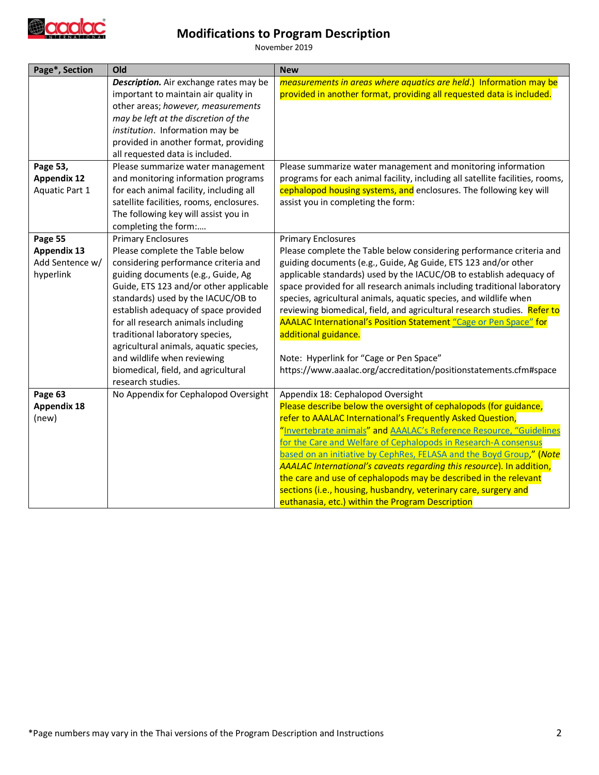

## **Modifications to Program Description**

November 2019

| Page*, Section     | Old                                      | <b>New</b>                                                                    |
|--------------------|------------------------------------------|-------------------------------------------------------------------------------|
|                    | Description. Air exchange rates may be   | measurements in areas where aquatics are held.) Information may be            |
|                    | important to maintain air quality in     | provided in another format, providing all requested data is included.         |
|                    | other areas; however, measurements       |                                                                               |
|                    | may be left at the discretion of the     |                                                                               |
|                    | institution. Information may be          |                                                                               |
|                    | provided in another format, providing    |                                                                               |
|                    | all requested data is included.          |                                                                               |
| Page 53,           | Please summarize water management        | Please summarize water management and monitoring information                  |
| <b>Appendix 12</b> | and monitoring information programs      | programs for each animal facility, including all satellite facilities, rooms, |
| Aquatic Part 1     | for each animal facility, including all  | cephalopod housing systems, and enclosures. The following key will            |
|                    | satellite facilities, rooms, enclosures. | assist you in completing the form:                                            |
|                    | The following key will assist you in     |                                                                               |
|                    | completing the form:                     |                                                                               |
| Page 55            | <b>Primary Enclosures</b>                | <b>Primary Enclosures</b>                                                     |
| <b>Appendix 13</b> | Please complete the Table below          | Please complete the Table below considering performance criteria and          |
| Add Sentence w/    | considering performance criteria and     | guiding documents (e.g., Guide, Ag Guide, ETS 123 and/or other                |
| hyperlink          | guiding documents (e.g., Guide, Ag       | applicable standards) used by the IACUC/OB to establish adequacy of           |
|                    | Guide, ETS 123 and/or other applicable   | space provided for all research animals including traditional laboratory      |
|                    | standards) used by the IACUC/OB to       | species, agricultural animals, aquatic species, and wildlife when             |
|                    | establish adequacy of space provided     | reviewing biomedical, field, and agricultural research studies. Refer to      |
|                    | for all research animals including       | AAALAC International's Position Statement "Cage or Pen Space" for             |
|                    | traditional laboratory species,          | additional guidance.                                                          |
|                    | agricultural animals, aquatic species,   |                                                                               |
|                    | and wildlife when reviewing              | Note: Hyperlink for "Cage or Pen Space"                                       |
|                    | biomedical, field, and agricultural      | https://www.aaalac.org/accreditation/positionstatements.cfm#space             |
|                    | research studies.                        |                                                                               |
| Page 63            | No Appendix for Cephalopod Oversight     | Appendix 18: Cephalopod Oversight                                             |
| <b>Appendix 18</b> |                                          | Please describe below the oversight of cephalopods (for guidance,             |
| (new)              |                                          | refer to AAALAC International's Frequently Asked Question,                    |
|                    |                                          | "Invertebrate animals" and AAALAC's Reference Resource, "Guidelines           |
|                    |                                          | for the Care and Welfare of Cephalopods in Research-A consensus               |
|                    |                                          | based on an initiative by CephRes, FELASA and the Boyd Group," (Note          |
|                    |                                          | AAALAC International's caveats regarding this resource). In addition,         |
|                    |                                          | the care and use of cephalopods may be described in the relevant              |
|                    |                                          | sections (i.e., housing, husbandry, veterinary care, surgery and              |
|                    |                                          | euthanasia, etc.) within the Program Description                              |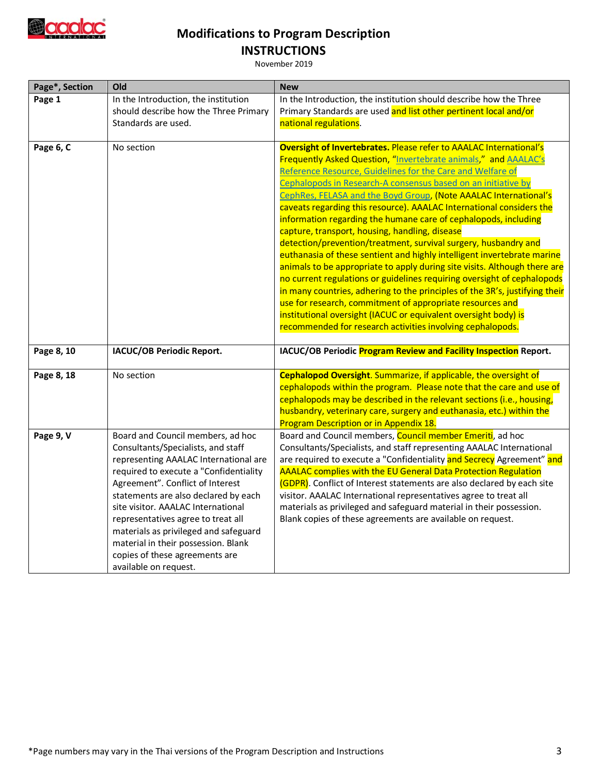

## **Modifications to Program Description INSTRUCTIONS**

November 2019

| Page*, Section | Old                                                                          | <b>New</b>                                                                                                                                                                                                |
|----------------|------------------------------------------------------------------------------|-----------------------------------------------------------------------------------------------------------------------------------------------------------------------------------------------------------|
| Page 1         | In the Introduction, the institution                                         | In the Introduction, the institution should describe how the Three                                                                                                                                        |
|                | should describe how the Three Primary                                        | Primary Standards are used and list other pertinent local and/or                                                                                                                                          |
|                | Standards are used.                                                          | national regulations.                                                                                                                                                                                     |
| Page 6, C      | No section                                                                   | Oversight of Invertebrates. Please refer to AAALAC International's<br>Frequently Asked Question, "Invertebrate animals," and AAALAC's<br>Reference Resource, Guidelines for the Care and Welfare of       |
|                |                                                                              | Cephalopods in Research-A consensus based on an initiative by<br>CephRes, FELASA and the Boyd Group, (Note AAALAC International's<br>caveats regarding this resource). AAALAC International considers the |
|                |                                                                              | information regarding the humane care of cephalopods, including                                                                                                                                           |
|                |                                                                              | capture, transport, housing, handling, disease<br>detection/prevention/treatment, survival surgery, husbandry and                                                                                         |
|                |                                                                              | euthanasia of these sentient and highly intelligent invertebrate marine                                                                                                                                   |
|                |                                                                              | animals to be appropriate to apply during site visits. Although there are<br>no current regulations or guidelines requiring oversight of cephalopods                                                      |
|                |                                                                              | in many countries, adhering to the principles of the 3R's, justifying their                                                                                                                               |
|                |                                                                              | use for research, commitment of appropriate resources and                                                                                                                                                 |
|                |                                                                              | institutional oversight (IACUC or equivalent oversight body) is                                                                                                                                           |
|                |                                                                              | recommended for research activities involving cephalopods.                                                                                                                                                |
| Page 8, 10     | IACUC/OB Periodic Report.                                                    | IACUC/OB Periodic Program Review and Facility Inspection Report.                                                                                                                                          |
| Page 8, 18     | No section                                                                   | Cephalopod Oversight. Summarize, if applicable, the oversight of                                                                                                                                          |
|                |                                                                              | cephalopods within the program. Please note that the care and use of                                                                                                                                      |
|                |                                                                              | cephalopods may be described in the relevant sections (i.e., housing,<br>husbandry, veterinary care, surgery and euthanasia, etc.) within the                                                             |
|                |                                                                              | Program Description or in Appendix 18.                                                                                                                                                                    |
| Page 9, V      | Board and Council members, ad hoc                                            | Board and Council members, Council member Emeriti, ad hoc                                                                                                                                                 |
|                | Consultants/Specialists, and staff<br>representing AAALAC International are  | Consultants/Specialists, and staff representing AAALAC International<br>are required to execute a "Confidentiality and Secrecy Agreement" and                                                             |
|                | required to execute a "Confidentiality                                       | AAALAC complies with the EU General Data Protection Regulation                                                                                                                                            |
|                | Agreement". Conflict of Interest                                             | (GDPR). Conflict of Interest statements are also declared by each site                                                                                                                                    |
|                | statements are also declared by each                                         | visitor. AAALAC International representatives agree to treat all                                                                                                                                          |
|                | site visitor. AAALAC International                                           | materials as privileged and safeguard material in their possession.                                                                                                                                       |
|                | representatives agree to treat all                                           | Blank copies of these agreements are available on request.                                                                                                                                                |
|                | materials as privileged and safeguard<br>material in their possession. Blank |                                                                                                                                                                                                           |
|                | copies of these agreements are                                               |                                                                                                                                                                                                           |
|                | available on request.                                                        |                                                                                                                                                                                                           |